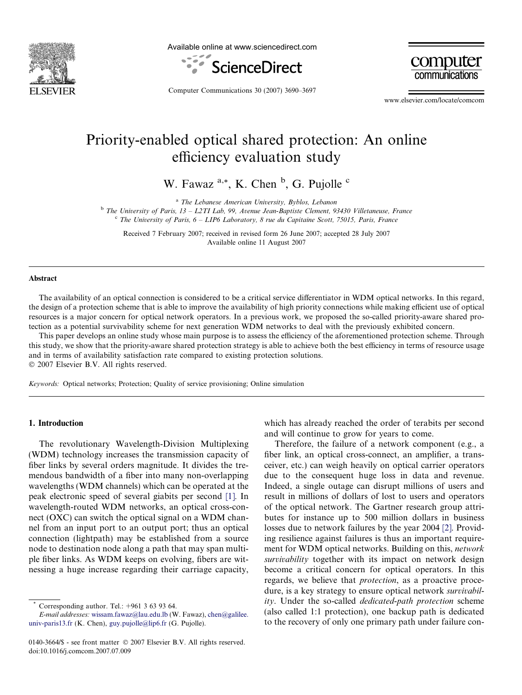

Available online at www.sciencedirect.com





Computer Communications 30 (2007) 3690–3697

www.elsevier.com/locate/comcom

# Priority-enabled optical shared protection: An online efficiency evaluation study

W. Fawaz <sup>a,\*</sup>, K. Chen <sup>b</sup>, G. Pujolle <sup>c</sup>

<sup>a</sup> The Lebanese American University, Byblos, Lebanon

<sup>b</sup> The University of Paris, 13 – L2TI Lab, 99, Avenue Jean-Baptiste Clement, 93430 Villetaneuse, France  $c^{\text{c}}$  The University of Paris,  $6 - LIP6$  Laboratory, 8 rue du Capitaine Scott, 75015, Paris, France

Received 7 February 2007; received in revised form 26 June 2007; accepted 28 July 2007 Available online 11 August 2007

#### Abstract

The availability of an optical connection is considered to be a critical service differentiator in WDM optical networks. In this regard, the design of a protection scheme that is able to improve the availability of high priority connections while making efficient use of optical resources is a major concern for optical network operators. In a previous work, we proposed the so-called priority-aware shared protection as a potential survivability scheme for next generation WDM networks to deal with the previously exhibited concern.

This paper develops an online study whose main purpose is to assess the efficiency of the aforementioned protection scheme. Through this study, we show that the priority-aware shared protection strategy is able to achieve both the best efficiency in terms of resource usage and in terms of availability satisfaction rate compared to existing protection solutions. © 2007 Elsevier B.V. All rights reserved.

Keywords: Optical networks; Protection; Quality of service provisioning; Online simulation

#### 1. Introduction

The revolutionary Wavelength-Division Multiplexing (WDM) technology increases the transmission capacity of fiber links by several orders magnitude. It divides the tremendous bandwidth of a fiber into many non-overlapping wavelengths (WDM channels) which can be operated at the peak electronic speed of several giabits per second [\[1\].](#page-6-0) In wavelength-routed WDM networks, an optical cross-connect (OXC) can switch the optical signal on a WDM channel from an input port to an output port; thus an optical connection (lightpath) may be established from a source node to destination node along a path that may span multiple fiber links. As WDM keeps on evolving, fibers are witnessing a huge increase regarding their carriage capacity,

which has already reached the order of terabits per second and will continue to grow for years to come.

Therefore, the failure of a network component (e.g., a fiber link, an optical cross-connect, an amplifier, a transceiver, etc.) can weigh heavily on optical carrier operators due to the consequent huge loss in data and revenue. Indeed, a single outage can disrupt millions of users and result in millions of dollars of lost to users and operators of the optical network. The Gartner research group attributes for instance up to 500 million dollars in business losses due to network failures by the year 2004 [\[2\]](#page-6-0). Providing resilience against failures is thus an important requirement for WDM optical networks. Building on this, network survivability together with its impact on network design become a critical concern for optical operators. In this regards, we believe that protection, as a proactive procedure, is a key strategy to ensure optical network *survivabil*ity. Under the so-called dedicated-path protection scheme (also called 1:1 protection), one backup path is dedicated to the recovery of only one primary path under failure con-

Corresponding author. Tel.:  $+961$  3 63 93 64.

E-mail addresses: [wissam.fawaz@lau.edu.lb](mailto:wissam.fawaz@lau.edu.lb) (W. Fawaz), [chen@galilee.](mailto:chen@galilee. univ-paris13.fr) [univ-paris13.fr](mailto:chen@galilee. univ-paris13.fr) (K. Chen), [guy.pujolle@lip6.fr](mailto:guy.pujolle@lip6.fr) (G. Pujolle).

<sup>0140-3664/\$ -</sup> see front matter © 2007 Elsevier B.V. All rights reserved. doi:10.1016/j.comcom.2007.07.009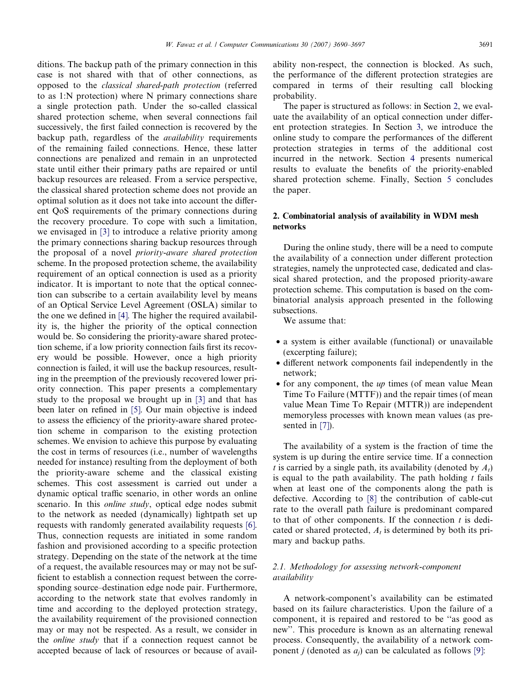ditions. The backup path of the primary connection in this case is not shared with that of other connections, as opposed to the classical shared-path protection (referred to as 1:N protection) where N primary connections share a single protection path. Under the so-called classical shared protection scheme, when several connections fail successively, the first failed connection is recovered by the backup path, regardless of the availability requirements of the remaining failed connections. Hence, these latter connections are penalized and remain in an unprotected state until either their primary paths are repaired or until backup resources are released. From a service perspective, the classical shared protection scheme does not provide an optimal solution as it does not take into account the different QoS requirements of the primary connections during the recovery procedure. To cope with such a limitation, we envisaged in [\[3\]](#page-6-0) to introduce a relative priority among the primary connections sharing backup resources through the proposal of a novel priority-aware shared protection scheme. In the proposed protection scheme, the availability requirement of an optical connection is used as a priority indicator. It is important to note that the optical connection can subscribe to a certain availability level by means of an Optical Service Level Agreement (OSLA) similar to the one we defined in [\[4\]](#page-6-0). The higher the required availability is, the higher the priority of the optical connection would be. So considering the priority-aware shared protection scheme, if a low priority connection fails first its recovery would be possible. However, once a high priority connection is failed, it will use the backup resources, resulting in the preemption of the previously recovered lower priority connection. This paper presents a complementary study to the proposal we brought up in [\[3\]](#page-6-0) and that has been later on refined in [\[5\]](#page-6-0). Our main objective is indeed to assess the efficiency of the priority-aware shared protection scheme in comparison to the existing protection schemes. We envision to achieve this purpose by evaluating the cost in terms of resources (i.e., number of wavelengths needed for instance) resulting from the deployment of both the priority-aware scheme and the classical existing schemes. This cost assessment is carried out under a dynamic optical traffic scenario, in other words an online scenario. In this *online study*, optical edge nodes submit to the network as needed (dynamically) lightpath set up requests with randomly generated availability requests [\[6\].](#page-6-0) Thus, connection requests are initiated in some random fashion and provisioned according to a specific protection strategy. Depending on the state of the network at the time of a request, the available resources may or may not be sufficient to establish a connection request between the corresponding source–destination edge node pair. Furthermore, according to the network state that evolves randomly in time and according to the deployed protection strategy, the availability requirement of the provisioned connection may or may not be respected. As a result, we consider in the online study that if a connection request cannot be accepted because of lack of resources or because of availability non-respect, the connection is blocked. As such, the performance of the different protection strategies are compared in terms of their resulting call blocking probability.

The paper is structured as follows: in Section 2, we evaluate the availability of an optical connection under different protection strategies. In Section [3](#page-3-0), we introduce the online study to compare the performances of the different protection strategies in terms of the additional cost incurred in the network. Section [4](#page-4-0) presents numerical results to evaluate the benefits of the priority-enabled shared protection scheme. Finally, Section [5](#page-5-0) concludes the paper.

# 2. Combinatorial analysis of availability in WDM mesh networks

During the online study, there will be a need to compute the availability of a connection under different protection strategies, namely the unprotected case, dedicated and classical shared protection, and the proposed priority-aware protection scheme. This computation is based on the combinatorial analysis approach presented in the following subsections.

We assume that:

- a system is either available (functional) or unavailable (excerpting failure);
- different network components fail independently in the network;
- for any component, the *up* times (of mean value Mean Time To Failure (MTTF)) and the repair times (of mean value Mean Time To Repair (MTTR)) are independent memoryless processes with known mean values (as presented in [\[7\]\)](#page-7-0).

The availability of a system is the fraction of time the system is up during the entire service time. If a connection t is carried by a single path, its availability (denoted by  $A_t$ ) is equal to the path availability. The path holding  $t$  fails when at least one of the components along the path is defective. According to [\[8\]](#page-7-0) the contribution of cable-cut rate to the overall path failure is predominant compared to that of other components. If the connection  $t$  is dedicated or shared protected,  $A_t$  is determined by both its primary and backup paths.

## 2.1. Methodology for assessing network-component availability

A network-component's availability can be estimated based on its failure characteristics. Upon the failure of a component, it is repaired and restored to be ''as good as new''. This procedure is known as an alternating renewal process. Consequently, the availability of a network component *j* (denoted as  $a_i$ ) can be calculated as follows [\[9\]](#page-7-0):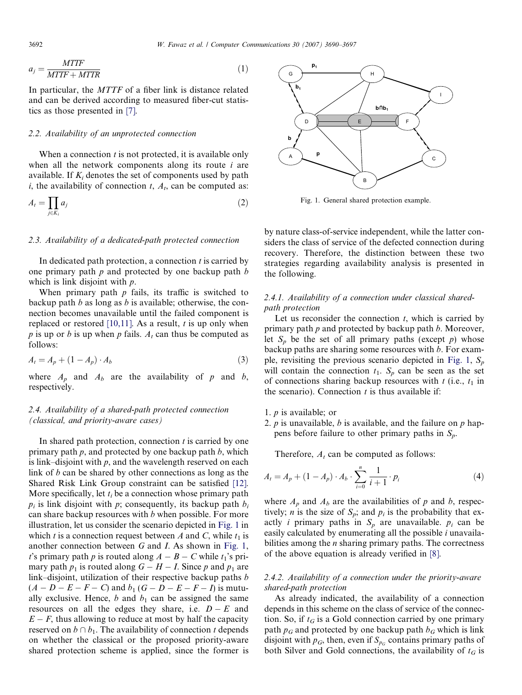$$
a_j = \frac{MTTF}{MTTF + MTTR} \tag{1}
$$

In particular, the MTTF of a fiber link is distance related and can be derived according to measured fiber-cut statistics as those presented in [\[7\]](#page-7-0).

## 2.2. Availability of an unprotected connection

When a connection  $t$  is not protected, it is available only when all the network components along its route  $i$  are available. If  $K_i$  denotes the set of components used by path i, the availability of connection  $t$ ,  $A_t$ , can be computed as:

$$
A_t = \prod_{j \in K_i} a_j \tag{2}
$$

#### 2.3. Availability of a dedicated-path protected connection

In dedicated path protection, a connection  $t$  is carried by one primary path  $p$  and protected by one backup path  $b$ which is link disjoint with *p*.

When primary path  $p$  fails, its traffic is switched to backup path b as long as b is available; otherwise, the connection becomes unavailable until the failed component is replaced or restored [\[10,11\]](#page-7-0). As a result,  $t$  is up only when p is up or b is up when p fails.  $A_t$  can thus be computed as follows:

$$
A_t = A_p + (1 - A_p) \cdot A_b \tag{3}
$$

where  $A_p$  and  $A_b$  are the availability of p and b, respectively.

# 2.4. Availability of a shared-path protected connection (classical, and priority-aware cases)

In shared path protection, connection  $t$  is carried by one primary path  $p$ , and protected by one backup path  $b$ , which is link–disjoint with  $p$ , and the wavelength reserved on each link of b can be shared by other connections as long as the Shared Risk Link Group constraint can be satisfied [\[12\]](#page-7-0). More specifically, let  $t_i$  be a connection whose primary path  $p_i$  is link disjoint with p; consequently, its backup path  $b_i$ can share backup resources with b when possible. For more illustration, let us consider the scenario depicted in Fig. 1 in which t is a connection request between A and C, while  $t_1$  is another connection between G and I. As shown in Fig. 1, t's primary path p is routed along  $A - B - C$  while  $t_1$ 's primary path  $p_1$  is routed along  $G - H - I$ . Since p and  $p_1$  are link–disjoint, utilization of their respective backup paths b  $(A - D - E - F - C)$  and  $b_1$   $(G - D - E - F - I)$  is mutually exclusive. Hence, b and  $b_1$  can be assigned the same resources on all the edges they share, i.e.  $D - E$  and  $E - F$ , thus allowing to reduce at most by half the capacity reserved on  $b \cap b_1$ . The availability of connection t depends on whether the classical or the proposed priority-aware shared protection scheme is applied, since the former is



Fig. 1. General shared protection example.

by nature class-of-service independent, while the latter considers the class of service of the defected connection during recovery. Therefore, the distinction between these two strategies regarding availability analysis is presented in the following.

# 2.4.1. Availability of a connection under classical sharedpath protection

Let us reconsider the connection  $t$ , which is carried by primary path  $p$  and protected by backup path  $b$ . Moreover, let  $S_p$  be the set of all primary paths (except p) whose backup paths are sharing some resources with  $b$ . For example, revisiting the previous scenario depicted in Fig. 1,  $S_n$ will contain the connection  $t_1$ .  $S_p$  can be seen as the set of connections sharing backup resources with  $t$  (i.e.,  $t_1$  in the scenario). Connection  $t$  is thus available if:

- 1. p is available; or
- 2.  $p$  is unavailable,  $b$  is available, and the failure on  $p$  happens before failure to other primary paths in  $S_p$ .

Therefore,  $A_t$  can be computed as follows:

$$
A_{t} = A_{p} + (1 - A_{p}) \cdot A_{b} \cdot \sum_{i=0}^{n} \frac{1}{i+1} \cdot p_{i}
$$
 (4)

where  $A_p$  and  $A_b$  are the availabilities of p and b, respectively; *n* is the size of  $S_p$ ; and  $p_i$  is the probability that exactly *i* primary paths in  $S_p$  are unavailable.  $p_i$  can be easily calculated by enumerating all the possible  $i$  unavailabilities among the  $n$  sharing primary paths. The correctness of the above equation is already verified in [\[8\].](#page-7-0)

# 2.4.2. Availability of a connection under the priority-aware shared-path protection

As already indicated, the availability of a connection depends in this scheme on the class of service of the connection. So, if  $t_G$  is a Gold connection carried by one primary path  $p_G$  and protected by one backup path  $b_G$  which is link disjoint with  $p_G$ , then, even if  $S_{p_G}$  contains primary paths of both Silver and Gold connections, the availability of  $t_G$  is

<span id="page-2-0"></span>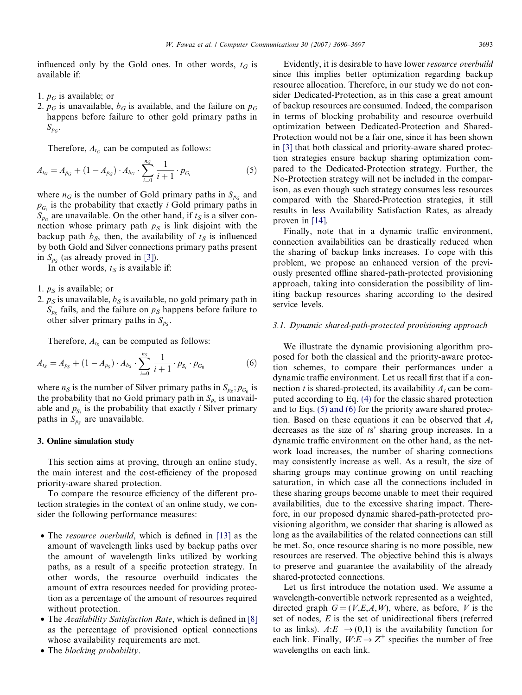<span id="page-3-0"></span>influenced only by the Gold ones. In other words,  $t_G$  is available if:

- 1.  $p_G$  is available; or
- 2.  $p_G$  is unavailable,  $b_G$  is available, and the failure on  $p_G$ happens before failure to other gold primary paths in  $S_{p_G}$ .

Therefore,  $A_{tc}$  can be computed as follows:

$$
A_{t_G} = A_{p_G} + (1 - A_{p_G}) \cdot A_{b_G} \cdot \sum_{i=0}^{n_G} \frac{1}{i+1} \cdot p_{G_i}
$$
 (5)

where  $n_G$  is the number of Gold primary paths in  $S_{p_G}$  and  $p_{G_i}$  is the probability that exactly *i* Gold primary paths in  $S_{p_G}$  are unavailable. On the other hand, if  $t_S$  is a silver connection whose primary path  $p<sub>S</sub>$  is link disjoint with the backup path  $b_S$ , then, the availability of  $t_S$  is influenced by both Gold and Silver connections primary paths present in  $S_{p_S}$  (as already proved in [\[3\]](#page-6-0)).

In other words,  $t<sub>S</sub>$  is available if:

- 1.  $p<sub>S</sub>$  is available; or
- 2.  $p<sub>S</sub>$  is unavailable,  $b<sub>S</sub>$  is available, no gold primary path in  $S_{p<sub>S</sub>}$  fails, and the failure on  $p<sub>S</sub>$  happens before failure to other silver primary paths in  $S_{p_s}$ .

Therefore,  $A_{ts}$  can be computed as follows:

$$
A_{t_S} = A_{p_S} + (1 - A_{p_S}) \cdot A_{b_S} \cdot \sum_{i=0}^{n_S} \frac{1}{i+1} \cdot p_{S_i} \cdot p_{G_0}
$$
 (6)

where  $n_S$  is the number of Silver primary paths in  $S_{p_S}$ ;  $p_{G_0}$  is the probability that no Gold primary path in  $S_{p_s}$  is unavailable and  $p_{S_i}$  is the probability that exactly *i* Silver primary paths in  $S_{p<sub>s</sub>}$  are unavailable.

#### 3. Online simulation study

This section aims at proving, through an online study, the main interest and the cost-efficiency of the proposed priority-aware shared protection.

To compare the resource efficiency of the different protection strategies in the context of an online study, we consider the following performance measures:

- The *resource overbuild*, which is defined in [\[13\]](#page-7-0) as the amount of wavelength links used by backup paths over the amount of wavelength links utilized by working paths, as a result of a specific protection strategy. In other words, the resource overbuild indicates the amount of extra resources needed for providing protection as a percentage of the amount of resources required without protection.
- The Availability Satisfaction Rate, which is defined in [\[8\]](#page-7-0) as the percentage of provisioned optical connections whose availability requirements are met.
- The blocking probability.

Evidently, it is desirable to have lower resource overbuild since this implies better optimization regarding backup resource allocation. Therefore, in our study we do not consider Dedicated-Protection, as in this case a great amount of backup resources are consumed. Indeed, the comparison in terms of blocking probability and resource overbuild optimization between Dedicated-Protection and Shared-Protection would not be a fair one, since it has been shown in [\[3\]](#page-6-0) that both classical and priority-aware shared protection strategies ensure backup sharing optimization compared to the Dedicated-Protection strategy. Further, the No-Protection strategy will not be included in the comparison, as even though such strategy consumes less resources compared with the Shared-Protection strategies, it still results in less Availability Satisfaction Rates, as already proven in [\[14\].](#page-7-0)

Finally, note that in a dynamic traffic environment, connection availabilities can be drastically reduced when the sharing of backup links increases. To cope with this problem, we propose an enhanced version of the previously presented offline shared-path-protected provisioning approach, taking into consideration the possibility of limiting backup resources sharing according to the desired service levels.

#### 3.1. Dynamic shared-path-protected provisioning approach

We illustrate the dynamic provisioning algorithm proposed for both the classical and the priority-aware protection schemes, to compare their performances under a dynamic traffic environment. Let us recall first that if a connection t is shared-protected, its availability  $A_t$  can be computed according to Eq. [\(4\)](#page-2-0) for the classic shared protection and to Eqs. (5) and (6) for the priority aware shared protection. Based on these equations it can be observed that  $A_t$ decreases as the size of ts' sharing group increases. In a dynamic traffic environment on the other hand, as the network load increases, the number of sharing connections may consistently increase as well. As a result, the size of sharing groups may continue growing on until reaching saturation, in which case all the connections included in these sharing groups become unable to meet their required availabilities, due to the excessive sharing impact. Therefore, in our proposed dynamic shared-path-protected provisioning algorithm, we consider that sharing is allowed as long as the availabilities of the related connections can still be met. So, once resource sharing is no more possible, new resources are reserved. The objective behind this is always to preserve and guarantee the availability of the already shared-protected connections.

Let us first introduce the notation used. We assume a wavelength-convertible network represented as a weighted, directed graph  $G = (V, E, A, W)$ , where, as before, V is the set of nodes, E is the set of unidirectional fibers (referred to as links).  $A: E \rightarrow (0,1)$  is the availability function for each link. Finally,  $W: E \to Z^+$  specifies the number of free wavelengths on each link.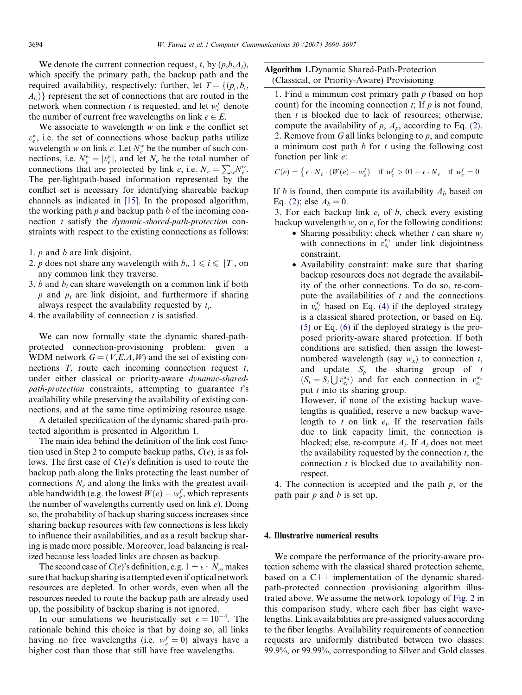<span id="page-4-0"></span>We denote the current connection request, t, by  $(p,b,A_t)$ , which specify the primary path, the backup path and the required availability, respectively; further, let T ¼ fðpi ; bi;  $\{A_{t_i}\}\}$  represent the set of connections that are routed in the network when connection t is requested, and let  $w_e^f$  denote the number of current free wavelengths on link  $e \in E$ .

We associate to wavelength  $w$  on link  $e$  the conflict set  $v_e^w$ , i.e. the set of connections whose backup paths utilize wavelength w on link e. Let  $N_e^w$  be the number of such connections, i.e.  $N_e^w = |v_e^w|$ , and let  $N_e$  be the total number of connections that are protected by link e, i.e.  $N_e = \sum_{w} N_e^w$ . The per-lightpath-based information represented by the conflict set is necessary for identifying shareable backup channels as indicated in [\[15\].](#page-7-0) In the proposed algorithm, the working path  $p$  and backup path  $b$  of the incoming connection t satisfy the dynamic-shared-path-protection constraints with respect to the existing connections as follows:

- 1. p and b are link disjoint.
- 2. p does not share any wavelength with  $b_i$ ,  $1 \le i \le |T|$ , on any common link they traverse.
- 3. b and  $b_i$  can share wavelength on a common link if both  $p$  and  $p_i$  are link disjoint, and furthermore if sharing always respect the availability requested by  $t_i$ .
- 4. the availability of connection  $t$  is satisfied.

We can now formally state the dynamic shared-pathprotected connection-provisioning problem: given a WDM network  $G = (V, E, A, W)$  and the set of existing connections  $T$ , route each incoming connection request  $t$ , under either classical or priority-aware dynamic-sharedpath-protection constraints, attempting to guarantee  $t$ 's availability while preserving the availability of existing connections, and at the same time optimizing resource usage.

A detailed specification of the dynamic shared-path-protected algorithm is presented in Algorithm 1.

The main idea behind the definition of the link cost function used in Step 2 to compute backup paths,  $C(e)$ , is as follows. The first case of  $C(e)$ 's definition is used to route the backup path along the links protecting the least number of connections  $N_e$  and along the links with the greatest available bandwidth (e.g. the lowest  $W(e) - w_e^f$ , which represents the number of wavelengths currently used on link  $e$ ). Doing so, the probability of backup sharing success increases since sharing backup resources with few connections is less likely to influence their availabilities, and as a result backup sharing is made more possible. Moreover, load balancing is realized because less loaded links are chosen as backup.

The second case of  $C(e)$ 's definition, e.g.  $1 + \epsilon \cdot N_e$ , makes sure that backup sharing is attempted even if optical network resources are depleted. In other words, even when all the resources needed to route the backup path are already used up, the possibility of backup sharing is not ignored.

In our simulations we heuristically set  $\epsilon = 10^{-4}$ . The rationale behind this choice is that by doing so, all links having no free wavelengths (i.e.  $w_e^f = 0$ ) always have a higher cost than those that still have free wavelengths.

# Algorithm 1.Dynamic Shared-Path-Protection (Classical, or Priority-Aware) Provisioning

1. Find a minimum cost primary path  $p$  (based on hop count) for the incoming connection  $t$ ; If  $p$  is not found, then  $t$  is blocked due to lack of resources; otherwise, compute the availability of  $p$ ,  $A_p$ , according to Eq. [\(2\)](#page-2-0). 2. Remove from  $G$  all links belonging to  $p$ , and compute a minimum cost path  $b$  for  $t$  using the following cost function per link e:

$$
C(e) = \left\{ \epsilon \cdot N_e \cdot (W(e) - w_e^f) \quad \text{if } w_e^f > 0 \right\} + \epsilon \cdot N_e \quad \text{if } w_e^f = 0
$$

If b is found, then compute its availability  $A_b$  based on Eq. [\(2\);](#page-2-0) else  $A_b = 0$ .

3. For each backup link  $e_i$  of b, check every existing backup wavelength  $w_i$  on  $e_i$  for the following conditions:

- Sharing possibility: check whether t can share  $w_i$ with connections in  $v_{e_i}^{w_j}$  under link–disjointness constraint.
- Availability constraint: make sure that sharing backup resources does not degrade the availability of the other connections. To do so, re-compute the availabilities of  $t$  and the connections in  $v_{ei}^{w_j}$  based on Eq. [\(4\)](#page-2-0) if the deployed strategy is a classical shared protection, or based on Eq. [\(5\)](#page-3-0) or Eq. [\(6\)](#page-3-0) if the deployed strategy is the proposed priority-aware shared protection. If both conditions are satisfied, then assign the lowestnumbered wavelength (say  $w_x$ ) to connection t, and update  $S_p$  the sharing group of t  $(S_t = S_t \bigcup v_{e_i}^{w_x})$  and for each connection in  $v_{e_i}^{w_x}$ put  $t$  into its sharing group. However, if none of the existing backup wave-

lengths is qualified, reserve a new backup wavelength to t on link  $e_i$ . If the reservation fails due to link capacity limit, the connection is blocked; else, re-compute  $A_t$ . If  $A_t$  does not meet the availability requested by the connection  $t$ , the connection  $t$  is blocked due to availability nonrespect.

4. The connection is accepted and the path  $p$ , or the path pair  $p$  and  $b$  is set up.

## 4. Illustrative numerical results

We compare the performance of the priority-aware protection scheme with the classical shared protection scheme, based on a C++ implementation of the dynamic sharedpath-protected connection provisioning algorithm illustrated above. We assume the network topology of [Fig. 2](#page-5-0) in this comparison study, where each fiber has eight wavelengths. Link availabilities are pre-assigned values according to the fiber lengths. Availability requirements of connection requests are uniformly distributed between two classes: 99.9%, or 99.99%, corresponding to Silver and Gold classes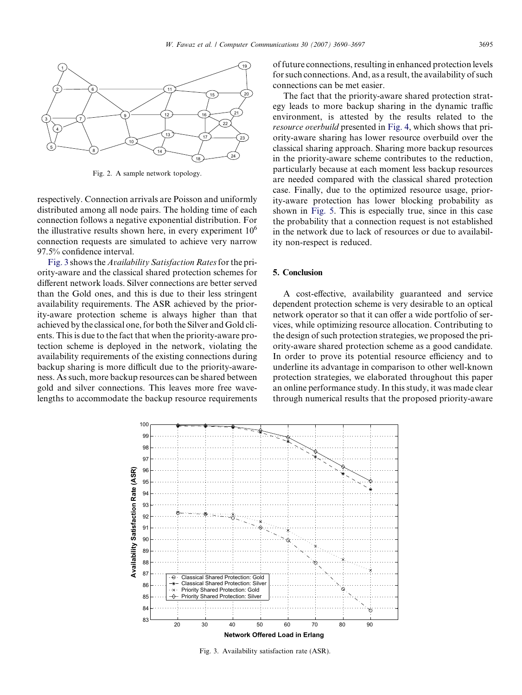<span id="page-5-0"></span>

Fig. 2. A sample network topology.

respectively. Connection arrivals are Poisson and uniformly distributed among all node pairs. The holding time of each connection follows a negative exponential distribution. For the illustrative results shown here, in every experiment  $10<sup>6</sup>$ connection requests are simulated to achieve very narrow 97.5% confidence interval.

Fig. 3 shows the *Availability Satisfaction Rates* for the priority-aware and the classical shared protection schemes for different network loads. Silver connections are better served than the Gold ones, and this is due to their less stringent availability requirements. The ASR achieved by the priority-aware protection scheme is always higher than that achieved by the classical one, for both the Silver and Gold clients. This is due to the fact that when the priority-aware protection scheme is deployed in the network, violating the availability requirements of the existing connections during backup sharing is more difficult due to the priority-awareness. As such, more backup resources can be shared between gold and silver connections. This leaves more free wavelengths to accommodate the backup resource requirements of future connections, resulting in enhanced protection levels for such connections. And, as a result, the availability of such connections can be met easier.

The fact that the priority-aware shared protection strategy leads to more backup sharing in the dynamic traffic environment, is attested by the results related to the resource overbuild presented in [Fig. 4,](#page-6-0) which shows that priority-aware sharing has lower resource overbuild over the classical sharing approach. Sharing more backup resources in the priority-aware scheme contributes to the reduction, particularly because at each moment less backup resources are needed compared with the classical shared protection case. Finally, due to the optimized resource usage, priority-aware protection has lower blocking probability as shown in [Fig. 5](#page-6-0). This is especially true, since in this case the probability that a connection request is not established in the network due to lack of resources or due to availability non-respect is reduced.

## 5. Conclusion

A cost-effective, availability guaranteed and service dependent protection scheme is very desirable to an optical network operator so that it can offer a wide portfolio of services, while optimizing resource allocation. Contributing to the design of such protection strategies, we proposed the priority-aware shared protection scheme as a good candidate. In order to prove its potential resource efficiency and to underline its advantage in comparison to other well-known protection strategies, we elaborated throughout this paper an online performance study. In this study, it was made clear through numerical results that the proposed priority-aware



Fig. 3. Availability satisfaction rate (ASR).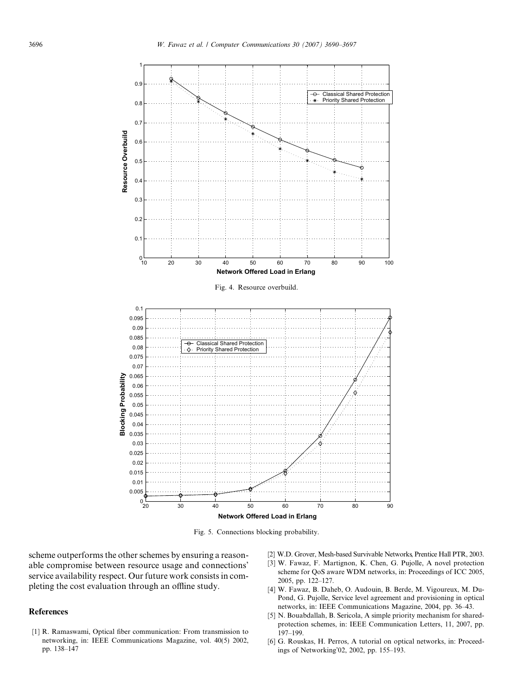<span id="page-6-0"></span>

Fig. 5. Connections blocking probability.

scheme outperforms the other schemes by ensuring a reasonable compromise between resource usage and connections' service availability respect. Our future work consists in completing the cost evaluation through an offline study.

## References

[1] R. Ramaswami, Optical fiber communication: From transmission to networking, in: IEEE Communications Magazine, vol. 40(5) 2002, pp. 138–147

- [2] W.D. Grover, Mesh-based Survivable Networks, Prentice Hall PTR, 2003.
- [3] W. Fawaz, F. Martignon, K. Chen, G. Pujolle, A novel protection scheme for QoS aware WDM networks, in: Proceedings of ICC 2005, 2005, pp. 122–127.
- [4] W. Fawaz, B. Daheb, O. Audouin, B. Berde, M. Vigoureux, M. Du-Pond, G. Pujolle, Service level agreement and provisioning in optical networks, in: IEEE Communications Magazine, 2004, pp. 36–43.
- [5] N. Bouabdallah, B. Sericola, A simple priority mechanism for sharedprotection schemes, in: IEEE Communication Letters, 11, 2007, pp. 197–199.
- [6] G. Rouskas, H. Perros, A tutorial on optical networks, in: Proceedings of Networking'02, 2002, pp. 155–193.